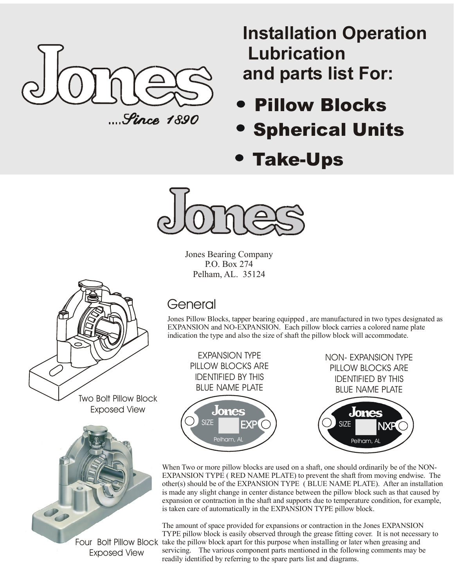

**Installation Operation Lubrication and parts list For:**

- Pillow Blocks
- Spherical Units
- Take-Ups



Jones Bearing Company P.O. Box 274 Pelham, AL. 35124



Exposed View

General

Jones Pillow Blocks, tapper bearing equipped , are manufactured in two types designated as EXPANSION and NO-EXPANSION. Each pillow block carries a colored name plate indication the type and also the size of shaft the pillow block will accommodate.



When Two or more pillow blocks are used on a shaft, one should ordinarily be of the NON-EXPANSION TYPE ( RED NAME PLATE) to prevent the shaft from moving endwise. The other(s) should be of the EXPANSION TYPE ( BLUE NAME PLATE). After an installation is made any slight change in center distance between the pillow block such as that caused by expansion or contraction in the shaft and supports due to temperature condition, for example, is taken care of automatically in the EXPANSION TYPE pillow block.

Four Bolt Pillow Block take the pillow block apart for this purpose when installing or later when greasing and The amount of space provided for expansions or contraction in the Jones EXPANSION TYPE pillow block is easily observed through the grease fitting cover. It is not necessary to servicing. The various component parts mentioned in the following comments may be readily identified by referring to the spare parts list and diagrams.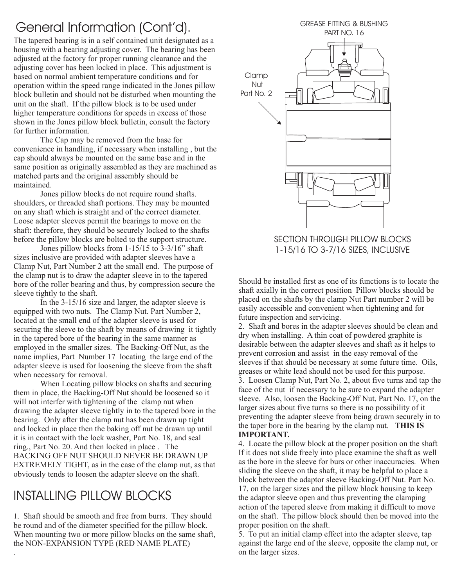### General Information (Cont'd). GREASE FITTING & BUSHING

The tapered bearing is in a self contained unit designated as a housing with a bearing adjusting cover. The bearing has been adjusted at the factory for proper running clearance and the adjusting cover has been locked in place. This adjustment is based on normal ambient temperature conditions and for operation within the speed range indicated in the Jones pillow block bulletin and should not be disturbed when mounting the unit on the shaft. If the pillow block is to be used under higher temperature conditions for speeds in excess of those shown in the Jones pillow block bulletin, consult the factory for further information.

The Cap may be removed from the base for convenience in handling, if necessary when installing , but the cap should always be mounted on the same base and in the same position as originally assembled as they are machined as matched parts and the original assembly should be maintained.

Jones pillow blocks do not require round shafts. shoulders, or threaded shaft portions. They may be mounted on any shaft which is straight and of the correct diameter. Loose adapter sleeves permit the bearings to move on the shaft: therefore, they should be securely locked to the shafts before the pillow blocks are bolted to the support structure.

Jones pillow blocks from 1-15/15 to 3-3/16" shaft sizes inclusive are provided with adapter sleeves have a Clamp Nut, Part Number 2 att the small end. The purpose of the clamp nut is to draw the adapter sleeve in to the tapered bore of the roller bearing and thus, by compression secure the sleeve tightly to the shaft.

In the 3-15/16 size and larger, the adapter sleeve is equipped with two nuts. The Clamp Nut. Part Number 2, located at the small end of the adapter sleeve is used for securing the sleeve to the shaft by means of drawing it tightly in the tapered bore of the bearing in the same manner as employed in the smaller sizes. The Backing-Off Nut, as the name implies, Part Number 17 locating the large end of the adapter sleeve is used for loosening the sleeve from the shaft when necessary for removal.

When Locating pillow blocks on shafts and securing them in place, the Backing-Off Nut should be loosened so it will not interfer with tightening of the clamp nut when drawing the adapter sleeve tightly in to the tapered bore in the bearing. Only after the clamp nut has been drawn up tight and locked in place then the baking off nut be drawn up until it is in contact with the lock washer, Part No. 18, and seal ring., Part No. 20. And then locked in place . The BACKING OFF NUT SHOULD NEVER BE DRAWN UP EXTREMELY TIGHT, as in the case of the clamp nut, as that obviously tends to loosen the adapter sleeve on the shaft.

## INSTALLING PILLOW BLOCKS

1. Shaft should be smooth and free from burrs. They should be round and of the diameter specified for the pillow block. When mounting two or more pillow blocks on the same shaft, the NON-EXPANSION TYPE (RED NAME PLATE) .



SECTION THROUGH PILLOW BLOCKS 1-15/16 TO 3-7/16 SIZES, INCLUSIVE

Should be installed first as one of its functions is to locate the shaft axially in the correct position Pillow blocks should be placed on the shafts by the clamp Nut Part number 2 will be easily accessible and convenient when tightening and for future inspection and servicing.

2. Shaft and bores in the adapter sleeves should be clean and dry when installing. A thin coat of powdered graphite is desirable between the adapter sleeves and shaft as it helps to prevent corrosion and assist in the easy removal of the sleeves if that should be necessary at some future time. Oils, greases or white lead should not be used for this purpose. 3. Loosen Clamp Nut, Part No. 2, about five turns and tap the face of the nut if necessary to be sure to expand the adapter sleeve. Also, loosen the Backing-Off Nut, Part No. 17, on the larger sizes about five turns so there is no possibility of it preventing the adapter sleeve from being drawn securely in to the taper bore in the bearing by the clamp nut. **THIS IS IMPORTANT.**

4. Locate the pillow block at the proper position on the shaft If it does not slide freely into place examine the shaft as well as the bore in the sleeve for burs or other inaccuracies. When sliding the sleeve on the shaft, it may be helpful to place a block between the adaptor sleeve Backing-Off Nut. Part No. 17, on the larger sizes and the pillow block housing to keep the adaptor sleeve open and thus preventing the clamping action of the tapered sleeve from making it difficult to move on the shaft. The pillow block should then be moved into the proper position on the shaft.

5. To put an initial clamp effect into the adapter sleeve, tap against the large end of the sleeve, opposite the clamp nut, or on the larger sizes.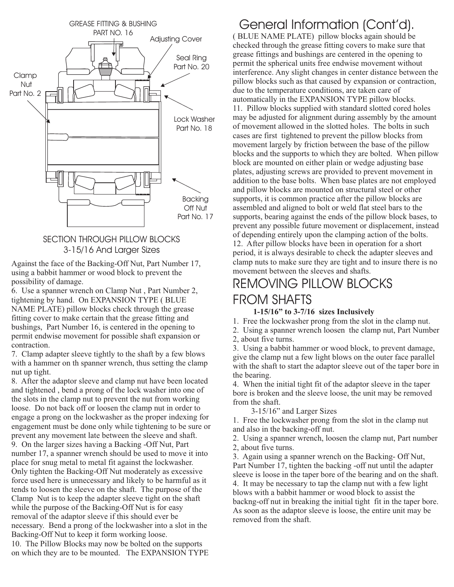

#### SECTION THROUGH PILLOW BLOCKS 3-15/16 And Larger Sizes

Against the face of the Backing-Off Nut, Part Number 17, using a babbit hammer or wood block to prevent the possibility of damage.

6. Use a spanner wrench on Clamp Nut , Part Number 2, tightening by hand. On EXPANSION TYPE ( BLUE NAME PLATE) pillow blocks check through the grease fitting cover to make certain that the grease fitting and bushings, Part Number 16, is centered in the opening to permit endwise movement for possible shaft expansion or contraction.

7. Clamp adapter sleeve tightly to the shaft by a few blows with a hammer on th spanner wrench, thus setting the clamp nut up tight.

8. After the adaptor sleeve and clamp nut have been located and tightened , bend a prong of the lock washer into one of the slots in the clamp nut to prevent the nut from working loose. Do not back off or loosen the clamp nut in order to engage a prong on the lockwasher as the proper indexing for engagement must be done only while tightening to be sure or prevent any movement late between the sleeve and shaft. 9. On the larger sizes having a Backing -Off Nut, Part number 17, a spanner wrench should be used to move it into place for snug metal to metal fit against the lockwasher. Only tighten the Backing-Off Nut moderately as excessive force used here is unnecessary and likely to be harmful as it tends to loosen the sleeve on the shaft. The purpose of the Clamp Nut is to keep the adapter sleeve tight on the shaft while the purpose of the Backing-Off Nut is for easy removal of the adaptor sleeve if this should ever be necessary. Bend a prong of the lockwasher into a slot in the Backing-Off Nut to keep it form working loose. 10. The Pillow Blocks may now be bolted on the supports on which they are to be mounted. The EXPANSION TYPE

## General Information (Cont'd).

( BLUE NAME PLATE) pillow blocks again should be checked through the grease fitting covers to make sure that grease fittings and bushings are centered in the opening to permit the spherical units free endwise movement without interference. Any slight changes in center distance between the pillow blocks such as that caused by expansion or contraction, due to the temperature conditions, are taken care of automatically in the EXPANSION TYPE pillow blocks. 11. Pillow blocks supplied with standard slotted cored holes may be adjusted for alignment during assembly by the amount of movement allowed in the slotted holes. The bolts in such cases are first tightened to prevent the pillow blocks from movement largely by friction between the base of the pillow blocks and the supports to which they are bolted. When pillow block are mounted on either plain or wedge adjusting base plates, adjusting screws are provided to prevent movement in addition to the base bolts. When base plates are not employed and pillow blocks are mounted on structural steel or other supports, it is common practice after the pillow blocks are assembled and aligned to bolt or weld flat steel bars to the supports, bearing against the ends of the pillow block bases, to prevent any possible future movement or displacement, instead of depending entirely upon the clamping action of the bolts. 12. After pillow blocks have been in operation for a short period, it is always desirable to check the adapter sleeves and clamp nuts to make sure they are tight and to insure there is no movement between the sleeves and shafts.

## REMOVING PILLOW BLOCKS FROM SHAFTS

#### **1-15/16" to 3-7/16 sizes Inclusively**

1. Free the lockwasher prong from the slot in the clamp nut.

2. Using a spanner wrench loosen the clamp nut, Part Number

2, about five turns.

3. Using a babbit hammer or wood block, to prevent damage, give the clamp nut a few light blows on the outer face parallel with the shaft to start the adaptor sleeve out of the taper bore in the bearing.

4. When the initial tight fit of the adaptor sleeve in the taper bore is broken and the sleeve loose, the unit may be removed from the shaft.

3-15/16" and Larger Sizes

1. Free the lockwasher prong from the slot in the clamp nut and also in the backing-off nut.

2. Using a spanner wrench, loosen the clamp nut, Part number 2, about five turns.

3. Again using a spanner wrench on the Backing- Off Nut, Part Number 17, tighten the backing -off nut until the adapter sleeve is loose in the taper bore of the bearing and on the shaft. 4. It may be necessary to tap the clamp nut with a few light blows with a babbit hammer or wood block to assist the backng-off nut in breaking the initial tight fit in the taper bore. As soon as the adaptor sleeve is loose, the entire unit may be removed from the shaft.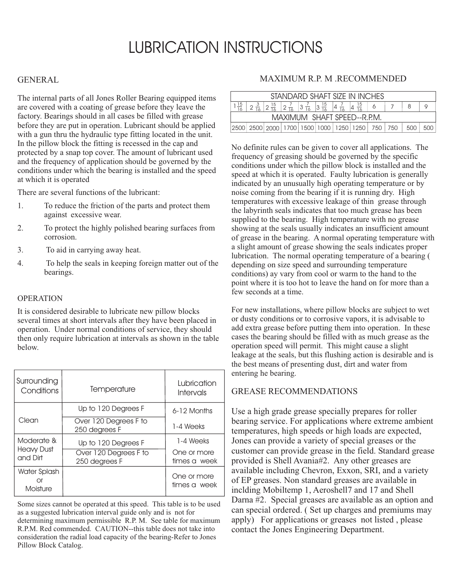## LUBRICATION INSTRUCTIONS

#### GENERAL

The internal parts of all Jones Roller Bearing equipped items are covered with a coating of grease before they leave the factory. Bearings should in all cases be filled with grease before they are put in operation. Lubricant should be applied with a gun thru the hydraulic type fitting located in the unit. In the pillow block the fitting is recessed in the cap and protected by a snap top cover. The amount of lubricant used and the frequency of application should be governed by the conditions under which the bearing is installed and the speed at which it is operated

There are several functions of the lubricant:

- 1. To reduce the friction of the parts and protect them against excessive wear.
- 2. To protect the highly polished bearing surfaces from corrosion.
- 3. To aid in carrying away heat.
- 4. To help the seals in keeping foreign matter out of the bearings.

#### OPERATION

It is considered desirable to lubricate new pillow blocks several times at short intervals after they have been placed in operation. Under normal conditions of service, they should then only require lubrication at intervals as shown in the table below.

| Surrounding<br>Conditions      | Temperature                            | Lubrication<br>Intervals    |
|--------------------------------|----------------------------------------|-----------------------------|
|                                | Up to 120 Degrees F                    | $6-12$ Months               |
| Clean                          | Over 120 Degrees F to<br>250 degrees F | 1-4 Weeks                   |
| Moderate &                     | Up to 120 Degrees F                    | 1-4 Weeks                   |
| <b>Heavy Dust</b><br>and Dirt  | Over 120 Degrees F to<br>250 degrees F | One or more<br>times a week |
| Water Splash<br>Ωr<br>Moisture |                                        | One or more<br>times a week |

Some sizes cannot be operated at this speed. This table is to be used as a suggested lubrication interval guide only and is not for determining maximum permissible R.P. M. See table for maximum R.P.M. Red commended. CAUTION--this table does not take into consideration the radial load capacity of the bearing-Refer to Jones Pillow Block Catalog.

#### MAXIMUM R.P. M .RECOMMENDED

| STANDARD SHAFT SIZE IN INCHES |  |  |  |  |  |  |                                                                                                                                                                      |  |  |  |
|-------------------------------|--|--|--|--|--|--|----------------------------------------------------------------------------------------------------------------------------------------------------------------------|--|--|--|
|                               |  |  |  |  |  |  | $\left  2\frac{3}{16} \right  2\frac{15}{16} \left  2\frac{7}{16} \right  3\frac{7}{16} \left  3\frac{15}{16} \right  4\frac{7}{16} \left  4\frac{15}{16} \right  6$ |  |  |  |
| MAXIMUM SHAFT SPEED--R.P.M.   |  |  |  |  |  |  |                                                                                                                                                                      |  |  |  |
|                               |  |  |  |  |  |  | 2500  2500  2000   1700   1500   1000   1250   1250   750   750   500   500                                                                                          |  |  |  |

No definite rules can be given to cover all applications. The frequency of greasing should be governed by the specific conditions under which the pillow block is installed and the speed at which it is operated. Faulty lubrication is generally indicated by an unusually high operating temperature or by noise coming from the bearing if it is running dry. High temperatures with excessive leakage of thin grease through the labyrinth seals indicates that too much grease has been supplied to the bearing. High temperature with no grease showing at the seals usually indicates an insufficient amount of grease in the bearing. A normal operating temperature with a slight amount of grease showing the seals indicates proper lubrication. The normal operating temperature of a bearing ( depending on size speed and surrounding temperature conditions) ay vary from cool or warm to the hand to the point where it is too hot to leave the hand on for more than a few seconds at a time.

For new installations, where pillow blocks are subject to wet or dusty conditions or to corrosive vapors, it is advisable to add extra grease before putting them into operation. In these cases the bearing should be filled with as much grease as the operation speed will permit. This might cause a slight leakage at the seals, but this flushing action is desirable and is the best means of presenting dust, dirt and water from entering he bearing.

#### GREASE RECOMMENDATIONS

Use a high grade grease specially prepares for roller bearing service. For applications where extreme ambient temperatures, high speeds or high loads are expected, Jones can provide a variety of special greases or the customer can provide grease in the field. Standard grease provided is Shell Avania#2. Any other greases are available including Chevron, Exxon, SRI, and a variety of EP greases. Non standard greases are available in inclding Mobiltemp 1, Aeroshell7 and 17 and Shell Darna #2. Special greases are available as an option and can special ordered. ( Set up charges and premiums may apply) For applications or greases not listed , please contact the Jones Engineering Department.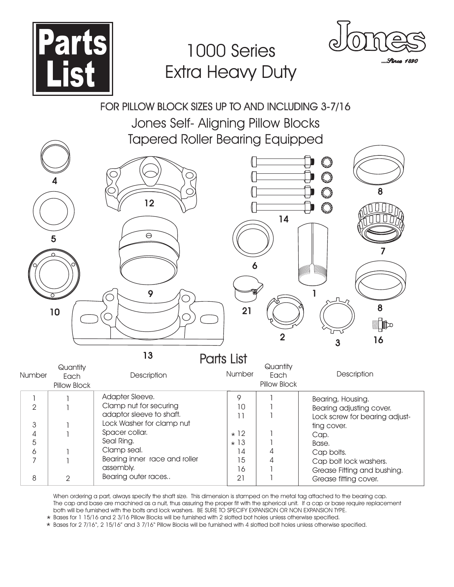

# 1000 Series Extra Heavy Duty



Grease fitting cover.

....*Strcs 1890* 

### FOR PILLOW BLOCK SIZES UP TO AND INCLUDING 3-7/16

Jones Self- Aligning Pillow Blocks Tapered Roller Bearing Equipped

|                | 4<br>5<br>10                | 12<br>$\ominus$<br>9          | 6<br>21    | 14<br>$\overline{2}$ | Euro<br>Eust<br>Eust<br>8<br>Eust<br>7<br>8<br>$\mathbb{R}^{\infty}$<br>16<br>3 |
|----------------|-----------------------------|-------------------------------|------------|----------------------|---------------------------------------------------------------------------------|
|                |                             | 13                            | Parts List |                      |                                                                                 |
|                | Quantity                    |                               | Number     | Quantity             | Description                                                                     |
| Number         | Each<br><b>Pillow Block</b> | Description                   |            | Each<br>Pillow Block |                                                                                 |
| 1              |                             | Adapter Sleeve.               | 9          |                      | Bearing, Housing.                                                               |
| $\mathbf{2}$   |                             | Clamp nut for securing        | 10         |                      | Bearing adjusting cover.                                                        |
|                |                             | adaptor sleeve to shaft.      | 11         |                      | Lock screw for bearing adjust-                                                  |
| $\mathfrak 3$  |                             | Lock Washer for clamp nut     |            |                      | ting cover.                                                                     |
| 4              |                             | Spacer collar.                | $\star$ 12 |                      | Cap.                                                                            |
| 5              |                             | Seal Ring.                    | $\star$ 13 |                      | Base.                                                                           |
| 6              |                             | Clamp seal.                   | 14         | 4                    | Cap bolts.                                                                      |
| $\overline{7}$ |                             | Bearing inner race and roller | 15         | 4                    | Cap bolt lock washers.                                                          |
|                |                             | assembly.                     | 16         |                      | Grease Fitting and bushing.                                                     |
| 8              | $\overline{2}$              | Bearing outer races           | 21         |                      | Grease fitting cover.                                                           |

When ordering a part, always specify the shaft size. This dimension is stamped on the metal tag attached to the bearing cap. The cap and base are machined as a nuit, thus assuring the proper fit with the spherical unit. If a cap or base require replacement both will be furnished with the bolts and lock washers. BE SURE TO SPECIFY EXPANSION OR NON EXPANSION TYPE.

\* Bases for 1 15/16 and 2 3/16 Pillow Blocks will be furnished with 2 slotted bot holes unless otherwise specified.

\* Bases for 2 7/16", 2 15/16" and 3 7/16" Pillow Blocks will be furnished with 4 slotted bolt holes unless otherwise specified.